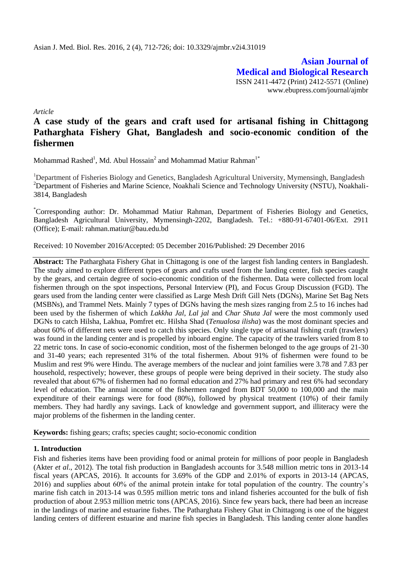**Asian Journal of Medical and Biological Research** ISSN 2411-4472 (Print) 2412-5571 (Online) www.ebupress.com/journal/ajmbr

*Article*

# **A case study of the gears and craft used for artisanal fishing in Chittagong Patharghata Fishery Ghat, Bangladesh and socio-economic condition of the fishermen**

Mohammad Rashed<sup>1</sup>, Md. Abul Hossain<sup>2</sup> and Mohammad Matiur Rahman<sup>1\*</sup>

<sup>1</sup>Department of Fisheries Biology and Genetics, Bangladesh Agricultural University, Mymensingh, Bangladesh <sup>2</sup>Department of Fisheries and Marine Science, Noakhali Science and Technology University (NSTU), Noakhali-3814, Bangladesh

\*Corresponding author: Dr. Mohammad Matiur Rahman, Department of Fisheries Biology and Genetics, Bangladesh Agricultural University, Mymensingh-2202, Bangladesh. Tel.: +880-91-67401-06/Ext. 2911 (Office); E-mail: rahman.matiur@bau.edu.bd

Received: 10 November 2016/Accepted: 05 December 2016/Published: 29 December 2016

**Abstract:** The Patharghata Fishery Ghat in Chittagong is one of the largest fish landing centers in Bangladesh. The study aimed to explore different types of gears and crafts used from the landing center, fish species caught by the gears, and certain degree of socio-economic condition of the fishermen. Data were collected from local fishermen through on the spot inspections, Personal Interview (PI), and Focus Group Discussion (FGD). The gears used from the landing center were classified as Large Mesh Drift Gill Nets (DGNs), Marine Set Bag Nets (MSBNs), and Trammel Nets. Mainly 7 types of DGNs having the mesh sizes ranging from 2.5 to 16 inches had been used by the fishermen of which *Lakkha Jal*, *Lal jal* and *Char Shuta Jal* were the most commonly used DGNs to catch Hilsha, Lakhua, Pomfret etc. Hilsha Shad (*Tenualosa ilisha*) was the most dominant species and about 60% of different nets were used to catch this species. Only single type of artisanal fishing craft (trawlers) was found in the landing center and is propelled by inboard engine. The capacity of the trawlers varied from 8 to 22 metric tons. In case of socio-economic condition, most of the fishermen belonged to the age groups of 21-30 and 31-40 years; each represented 31% of the total fishermen. About 91% of fishermen were found to be Muslim and rest 9% were Hindu. The average members of the nuclear and joint families were 3.78 and 7.83 per household, respectively; however, these groups of people were being deprived in their society. The study also revealed that about 67% of fishermen had no formal education and 27% had primary and rest 6% had secondary level of education. The annual income of the fishermen ranged from BDT 50,000 to 100,000 and the main expenditure of their earnings were for food (80%), followed by physical treatment (10%) of their family members. They had hardly any savings. Lack of knowledge and government support, and illiteracy were the major problems of the fishermen in the landing center.

**Keywords:** fishing gears; crafts; species caught; socio-economic condition

#### **1. Introduction**

Fish and fisheries items have been providing food or animal protein for millions of poor people in Bangladesh (Akter *et al*., 2012). The total fish production in Bangladesh accounts for 3.548 million metric tons in 2013-14 fiscal years (APCAS, 2016). It accounts for 3.69% of the GDP and 2.01% of exports in 2013-14 (APCAS, 2016) and supplies about 60% of the animal protein intake for total population of the country. The country's marine fish catch in 2013-14 was 0.595 million metric tons and inland fisheries accounted for the bulk of fish production of about 2.953 million metric tons (APCAS, 2016). Since few years back, there had been an increase in the landings of marine and estuarine fishes. The Patharghata Fishery Ghat in Chittagong is one of the biggest landing centers of different estuarine and marine fish species in Bangladesh. This landing center alone handles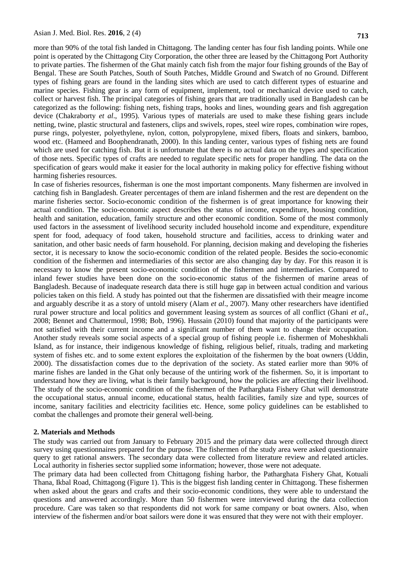more than 90% of the total fish landed in Chittagong. The landing center has four fish landing points. While one point is operated by the Chittagong City Corporation, the other three are leased by the Chittagong Port Authority to private parties. The fishermen of the Ghat mainly catch fish from the major four fishing grounds of the Bay of Bengal. These are South Patches, South of South Patches, Middle Ground and Swatch of no Ground. Different types of fishing gears are found in the landing sites which are used to catch different types of estuarine and marine species. Fishing gear is any form of equipment, implement, tool or mechanical device used to catch, collect or harvest fish. The principal categories of fishing gears that are traditionally used in Bangladesh can be categorized as the following: fishing nets, fishing traps, hooks and lines, wounding gears and fish aggregation device (Chakraborty *et al*., 1995). Various types of materials are used to make these fishing gears include netting, twine, plastic structural and fasteners, clips and swivels, ropes, steel wire ropes, combination wire ropes, purse rings, polyester, polyethylene, nylon, cotton, polypropylene, mixed fibers, floats and sinkers, bamboo, wood etc. (Hameed and Boophendranath, 2000). In this landing center, various types of fishing nets are found which are used for catching fish. But it is unfortunate that there is no actual data on the types and specification of those nets. Specific types of crafts are needed to regulate specific nets for proper handling. The data on the specification of gears would make it easier for the local authority in making policy for effective fishing without harming fisheries resources.

In case of fisheries resources, fisherman is one the most important components. Many fishermen are involved in catching fish in Bangladesh. Greater percentages of them are inland fishermen and the rest are dependent on the marine fisheries sector. Socio-economic condition of the fishermen is of great importance for knowing their actual condition. The socio-economic aspect describes the status of income, expenditure, housing condition, health and sanitation, education, family structure and other economic condition. Some of the most commonly used factors in the assessment of livelihood security included household income and expenditure, expenditure spent for food, adequacy of food taken, household structure and facilities, access to drinking water and sanitation, and other basic needs of farm household. For planning, decision making and developing the fisheries sector, it is necessary to know the socio-economic condition of the related people. Besides the socio-economic condition of the fishermen and intermediaries of this sector are also changing day by day. For this reason it is necessary to know the present socio-economic condition of the fishermen and intermediaries. Compared to inland fewer studies have been done on the socio-economic status of the fishermen of marine areas of Bangladesh. Because of inadequate research data there is still huge gap in between actual condition and various policies taken on this field. A study has pointed out that the fishermen are dissatisfied with their meagre income and arguably describe it as a story of untold misery (Alam *et al*., 2007). Many other researchers have identified rural power structure and local politics and government leasing system as sources of all conflict (Ghani *et al*., 2008; Bennet and Chattermoul, 1998; Bob, 1996). Hussain (2010) found that majority of the participants were not satisfied with their current income and a significant number of them want to change their occupation. Another study reveals some social aspects of a special group of fishing people i.e. fishermen of Moheshkhali Island, as for instance, their indigenous knowledge of fishing, religious belief, rituals, trading and marketing system of fishes etc. and to some extent explores the exploitation of the fishermen by the boat owners (Uddin, 2000). The dissatisfaction comes due to the deprivation of the society. As stated earlier more than 90% of marine fishes are landed in the Ghat only because of the untiring work of the fishermen. So, it is important to understand how they are living, what is their family background, how the policies are affecting their livelihood. The study of the socio-economic condition of the fishermen of the Patharghata Fishery Ghat will demonstrate the occupational status, annual income, educational status, health facilities, family size and type, sources of income, sanitary facilities and electricity facilities etc. Hence, some policy guidelines can be established to combat the challenges and promote their general well-being.

#### **2. Materials and Methods**

The study was carried out from January to February 2015 and the primary data were collected through direct survey using questionnaires prepared for the purpose. The fishermen of the study area were asked questionnaire query to get rational answers. The secondary data were collected from literature review and related articles. Local authority in fisheries sector supplied some information; however, those were not adequate.

The primary data had been collected from Chittagong fishing harbor, the Patharghata Fishery Ghat, Kotuali Thana, Ikbal Road, Chittagong (Figure 1). This is the biggest fish landing center in Chittagong. These fishermen when asked about the gears and crafts and their socio-economic conditions, they were able to understand the questions and answered accordingly. More than 50 fishermen were interviewed during the data collection procedure. Care was taken so that respondents did not work for same company or boat owners. Also, when interview of the fishermen and/or boat sailors were done it was ensured that they were not with their employer.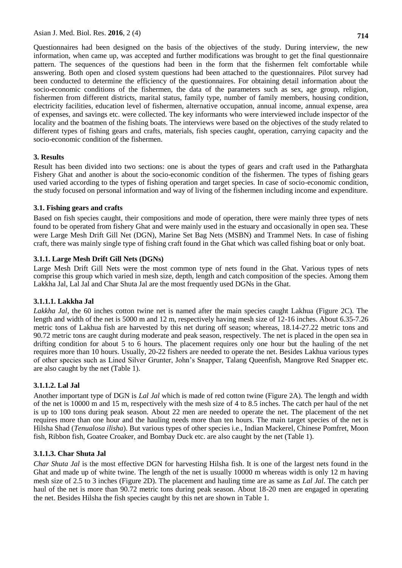Questionnaires had been designed on the basis of the objectives of the study. During interview, the new information, when came up, was accepted and further modifications was brought to get the final questionnaire pattern. The sequences of the questions had been in the form that the fishermen felt comfortable while answering. Both open and closed system questions had been attached to the questionnaires. Pilot survey had been conducted to determine the efficiency of the questionnaires. For obtaining detail information about the socio-economic conditions of the fishermen, the data of the parameters such as sex, age group, religion, fishermen from different districts, marital status, family type, number of family members, housing condition, electricity facilities, education level of fishermen, alternative occupation, annual income, annual expense, area of expenses, and savings etc. were collected. The key informants who were interviewed include inspector of the locality and the boatmen of the fishing boats. The interviews were based on the objectives of the study related to different types of fishing gears and crafts, materials, fish species caught, operation, carrying capacity and the socio-economic condition of the fishermen.

#### **3. Results**

Result has been divided into two sections: one is about the types of gears and craft used in the Patharghata Fishery Ghat and another is about the socio-economic condition of the fishermen. The types of fishing gears used varied according to the types of fishing operation and target species. In case of socio-economic condition, the study focused on personal information and way of living of the fishermen including income and expenditure.

#### **3.1. Fishing gears and crafts**

Based on fish species caught, their compositions and mode of operation, there were mainly three types of nets found to be operated from fishery Ghat and were mainly used in the estuary and occasionally in open sea. These were Large Mesh Drift Gill Net (DGN), Marine Set Bag Nets (MSBN) and Trammel Nets. In case of fishing craft, there was mainly single type of fishing craft found in the Ghat which was called fishing boat or only boat.

#### **3.1.1. Large Mesh Drift Gill Nets (DGNs)**

Large Mesh Drift Gill Nets were the most common type of nets found in the Ghat. Various types of nets comprise this group which varied in mesh size, depth, length and catch composition of the species. Among them Lakkha Jal, Lal Jal and Char Shuta Jal are the most frequently used DGNs in the Ghat.

#### **3.1.1.1. Lakkha Jal**

*Lakkha Jal*, the 60 inches cotton twine net is named after the main species caught Lakhua (Figure 2C). The length and width of the net is 5000 m and 12 m, respectively having mesh size of 12-16 inches. About 6.35-7.26 metric tons of Lakhua fish are harvested by this net during off season; whereas, 18.14-27.22 metric tons and 90.72 metric tons are caught during moderate and peak season, respectively. The net is placed in the open sea in drifting condition for about 5 to 6 hours. The placement requires only one hour but the hauling of the net requires more than 10 hours. Usually, 20-22 fishers are needed to operate the net. Besides Lakhua various types of other species such as Lined Silver Grunter, John's Snapper, Talang Queenfish, Mangrove Red Snapper etc. are also caught by the net (Table 1).

#### **3.1.1.2. Lal Jal**

Another important type of DGN is *Lal Jal* which is made of red cotton twine (Figure 2A). The length and width of the net is 10000 m and 15 m, respectively with the mesh size of 4 to 8.5 inches. The catch per haul of the net is up to 100 tons during peak season. About 22 men are needed to operate the net. The placement of the net requires more than one hour and the hauling needs more than ten hours. The main target species of the net is Hilsha Shad (*Tenualosa ilisha*). But various types of other species i.e., Indian Mackerel, Chinese Pomfret, Moon fish, Ribbon fish, Goatee Croaker, and Bombay Duck etc. are also caught by the net (Table 1).

#### **3.1.1.3. Char Shuta Jal**

*Char Shuta Jal* is the most effective DGN for harvesting Hilsha fish. It is one of the largest nets found in the Ghat and made up of white twine. The length of the net is usually 10000 m whereas width is only 12 m having mesh size of 2.5 to 3 inches (Figure 2D). The placement and hauling time are as same as *Lal Jal*. The catch per haul of the net is more than 90.72 metric tons during peak season. About 18-20 men are engaged in operating the net. Besides Hilsha the fish species caught by this net are shown in Table 1.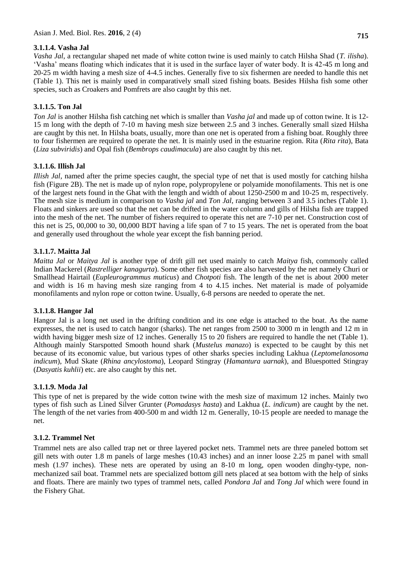## **3.1.1.4. Vasha Jal**

*Vasha Jal*, a rectangular shaped net made of white cotton twine is used mainly to catch Hilsha Shad (*T. ilisha*). 'Vasha' means floating which indicates that it is used in the surface layer of water body. It is 42-45 m long and 20-25 m width having a mesh size of 4-4.5 inches. Generally five to six fishermen are needed to handle this net (Table 1). This net is mainly used in comparatively small sized fishing boats. Besides Hilsha fish some other species, such as Croakers and Pomfrets are also caught by this net.

## **3.1.1.5. Ton Jal**

*Ton Jal* is another Hilsha fish catching net which is smaller than *Vasha jal* and made up of cotton twine. It is 12- 15 m long with the depth of 7-10 m having mesh size between 2.5 and 3 inches. Generally small sized Hilsha are caught by this net. In Hilsha boats, usually, more than one net is operated from a fishing boat. Roughly three to four fishermen are required to operate the net. It is mainly used in the estuarine region. Rita (*Rita rita*), Bata (*Liza subviridis*) and Opal fish (*Bembrops caudimacula*) are also caught by this net.

## **3.1.1.6. Illish Jal**

*Illish Jal*, named after the prime species caught, the special type of net that is used mostly for catching hilsha fish (Figure 2B). The net is made up of nylon rope, polypropylene or polyamide monofilaments. This net is one of the largest nets found in the Ghat with the length and width of about 1250-2500 m and 10-25 m, respectively. The mesh size is medium in comparison to *Vasha jal* and *Ton Jal*, ranging between 3 and 3.5 inches (Table 1). Floats and sinkers are used so that the net can be drifted in the water column and gills of Hilsha fish are trapped into the mesh of the net. The number of fishers required to operate this net are 7-10 per net. Construction cost of this net is 25, 00,000 to 30, 00,000 BDT having a life span of 7 to 15 years. The net is operated from the boat and generally used throughout the whole year except the fish banning period.

## **3.1.1.7. Maitta Jal**

*Maitta Jal* or *Maitya Jal* is another type of drift gill net used mainly to catch *Maitya* fish, commonly called Indian Mackerel (*Rastrelliger kanagurta*). Some other fish species are also harvested by the net namely Churi or Smallhead Hairtail (*Eupleurogrammus muticus*) and *Chotpoti* fish. The length of the net is about 2000 meter and width is 16 m having mesh size ranging from 4 to 4.15 inches. Net material is made of polyamide monofilaments and nylon rope or cotton twine. Usually, 6-8 persons are needed to operate the net.

## **3.1.1.8. Hangor Jal**

Hangor Jal is a long net used in the drifting condition and its one edge is attached to the boat. As the name expresses, the net is used to catch hangor (sharks). The net ranges from 2500 to 3000 m in length and 12 m in width having bigger mesh size of 12 inches. Generally 15 to 20 fishers are required to handle the net (Table 1). Although mainly Starspotted Smooth hound shark (*Mustelus manazo*) is expected to be caught by this net because of its economic value, but various types of other sharks species including Lakhua (*Leptomelanosoma indicum*), Mud Skate (*Rhina ancylostoma*), Leopard Stingray (*Hamantura uarnak*), and Bluespotted Stingray (*Dasyatis kuhlii*) etc. are also caught by this net.

## **3.1.1.9. Moda Jal**

This type of net is prepared by the wide cotton twine with the mesh size of maximum 12 inches. Mainly two types of fish such as Lined Silver Grunter (*Pomadasys hasta*) and Lakhua (*L. indicum*) are caught by the net. The length of the net varies from 400-500 m and width 12 m. Generally, 10-15 people are needed to manage the net.

## **3.1.2. Trammel Net**

Trammel nets are also called trap net or three layered pocket nets. Trammel nets are three paneled bottom set gill nets with outer 1.8 m panels of large meshes (10.43 inches) and an inner loose 2.25 m panel with small mesh (1.97 inches). These nets are operated by using an 8-10 m long, open wooden dinghy-type, nonmechanized sail boat. Trammel nets are specialized bottom gill nets placed at sea bottom with the help of sinks and floats. There are mainly two types of trammel nets, called *Pondora Jal* and *Tong Jal* which were found in the Fishery Ghat.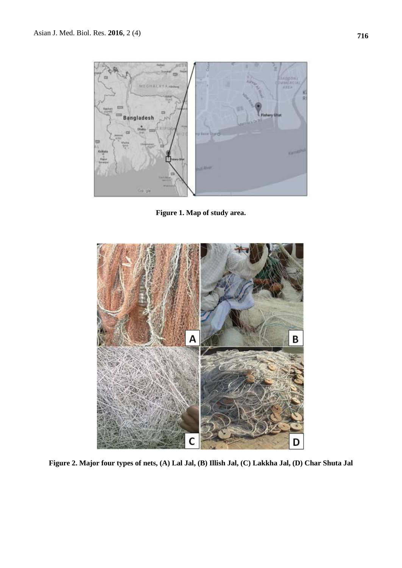

**Figure 1. Map of study area.**



**Figure 2. Major four types of nets, (A) Lal Jal, (B) Illish Jal, (C) Lakkha Jal, (D) Char Shuta Jal**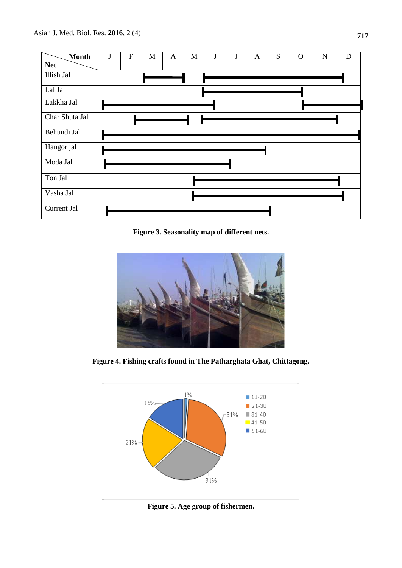

**Figure 3. Seasonality map of different nets.**



**Figure 4. Fishing crafts found in The Patharghata Ghat, Chittagong.**



**Figure 5. Age group of fishermen.**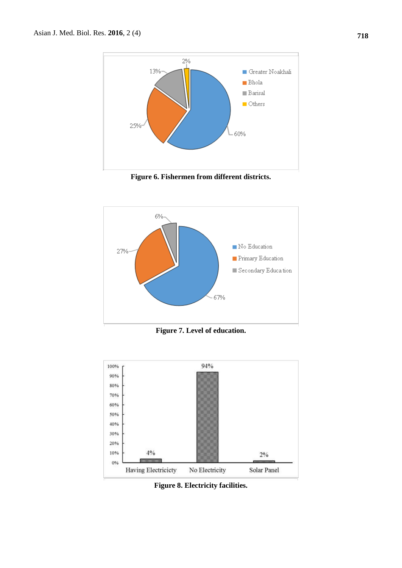

**Figure 6. Fishermen from different districts.**



**Figure 7. Level of education.**



**Figure 8. Electricity facilities.**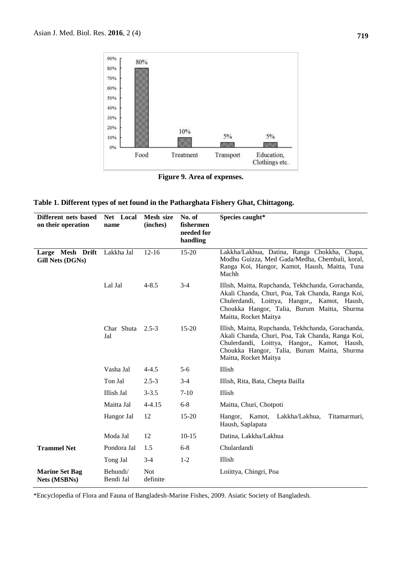

**Figure 9. Area of expenses.**

|  |  | Table 1. Different types of net found in the Patharghata Fishery Ghat, Chittagong. |  |
|--|--|------------------------------------------------------------------------------------|--|
|  |  |                                                                                    |  |

| Different nets based<br>on their operation | Net Local<br>name     | Mesh size<br>(inches)  | No. of<br>fishermen<br>needed for<br>handling | Species caught*                                                                                                                                                                                                                |
|--------------------------------------------|-----------------------|------------------------|-----------------------------------------------|--------------------------------------------------------------------------------------------------------------------------------------------------------------------------------------------------------------------------------|
| Large Mesh Drift<br>Gill Nets (DGNs)       | Lakkha Jal            | $12 - 16$              | 15-20                                         | Lakkha/Lakhua, Datina, Ranga Chokkha, Chapa,<br>Modhu Guizza, Med Gada/Medha, Chembali, koral,<br>Ranga Koi, Hangor, Kamot, Haush, Maitta, Tuna<br>Machh                                                                       |
|                                            | Lal Jal               | $4 - 8.5$              | $3-4$                                         | Illish, Maitta, Rupchanda, Tekhchanda, Gorachanda,<br>Akali Chanda, Churi, Poa, Tak Chanda, Ranga Koi,<br>Chulerdandi, Loittya, Hangor,, Kamot, Haush,<br>Choukka Hangor, Talia, Burum Maitta, Shurma<br>Maitta, Rocket Maitya |
|                                            | Char Shuta<br>Jal     | $2.5 - 3$              | $15 - 20$                                     | Illish, Maitta, Rupchanda, Tekhchanda, Gorachanda,<br>Akali Chanda, Churi, Poa, Tak Chanda, Ranga Koi,<br>Chulerdandi, Loittya, Hangor,, Kamot, Haush,<br>Choukka Hangor, Talia, Burum Maitta, Shurma<br>Maitta, Rocket Maitya |
|                                            | Vasha Jal             | $4 - 4.5$              | $5-6$                                         | Illish                                                                                                                                                                                                                         |
|                                            | Ton Jal               | $2.5 - 3$              | $3 - 4$                                       | Illish, Rita, Bata, Chepta Bailla                                                                                                                                                                                              |
|                                            | Illish Jal            | $3 - 3.5$              | $7 - 10$                                      | Illish                                                                                                                                                                                                                         |
|                                            | Maitta Jal            | $4 - 4.15$             | $6 - 8$                                       | Maitta, Churi, Chotpoti                                                                                                                                                                                                        |
|                                            | Hangor Jal            | 12                     | $15-20$                                       | Hangor, Kamot,<br>Lakkha/Lakhua,<br>Titamarmari,<br>Haush, Saplapata                                                                                                                                                           |
|                                            | Moda Jal              | 12                     | $10 - 15$                                     | Datina, Lakkha/Lakhua                                                                                                                                                                                                          |
| <b>Trammel Net</b>                         | Pondora Jal           | 1.5                    | $6 - 8$                                       | Chulardandi                                                                                                                                                                                                                    |
|                                            | Tong Jal              | $3-4$                  | $1 - 2$                                       | Illish                                                                                                                                                                                                                         |
| <b>Marine Set Bag</b><br>Nets (MSBNs)      | Behundi/<br>Bendi Jal | <b>Not</b><br>definite |                                               | Loiittya, Chingri, Poa                                                                                                                                                                                                         |

\*Encyclopedia of Flora and Fauna of Bangladesh-Marine Fishes, 2009. Asiatic Society of Bangladesh.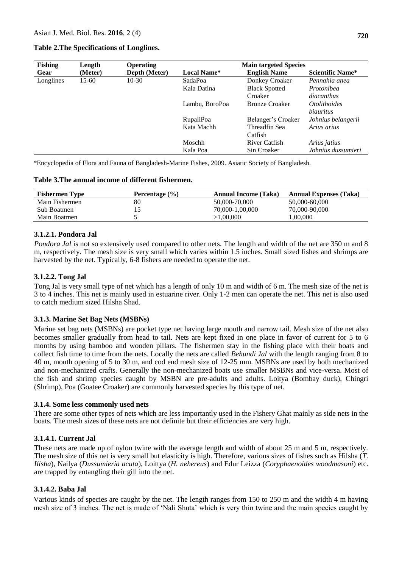#### **Table 2.The Specifications of Longlines.**

| <b>Fishing</b><br>Length |         | <b>Operating</b> |                  | <b>Main targeted Species</b> |                         |  |
|--------------------------|---------|------------------|------------------|------------------------------|-------------------------|--|
| Gear                     | (Meter) | Depth (Meter)    | Local Name*      | <b>English Name</b>          | <b>Scientific Name*</b> |  |
| Longlines                | 15-60   | $10-30$          | SadaPoa          | Donkey Croaker               | Pennahia anea           |  |
|                          |         |                  | Kala Datina      | <b>Black Spotted</b>         | Protonibea              |  |
|                          |         |                  |                  | Croaker                      | diacanthus              |  |
|                          |         |                  | Lambu, BoroPoa   | <b>Bronze Croaker</b>        | <i>Otolithoides</i>     |  |
|                          |         |                  |                  |                              | biauritus               |  |
|                          |         |                  | <b>RupaliPoa</b> | Belanger's Croaker           | Johnius belangerii      |  |
|                          |         |                  | Kata Machh       | Threadfin Sea                | Arius arius             |  |
|                          |         |                  |                  | Catfish                      |                         |  |
|                          |         |                  | Moschh           | River Catfish                | Arius jatius            |  |
|                          |         |                  | Kala Poa         | Sin Croaker                  | Johnius dussumieri      |  |

\*Encyclopedia of Flora and Fauna of Bangladesh-Marine Fishes, 2009. Asiatic Society of Bangladesh.

#### **Table 3.The annual income of different fishermen.**

| <b>Fishermen Type</b> | Percentage $(\% )$ | <b>Annual Income (Taka)</b> | <b>Annual Expenses (Taka)</b> |
|-----------------------|--------------------|-----------------------------|-------------------------------|
| Main Fishermen        | 80                 | 50,000-70,000               | 50,000-60,000                 |
| Sub Boatmen           |                    | 70,000-1,00,000             | 70,000-90,000                 |
| Main Boatmen          |                    | >1.00.000                   | 0.000                         |

### **3.1.2.1. Pondora Jal**

*Pondora Jal* is not so extensively used compared to other nets. The length and width of the net are 350 m and 8 m, respectively. The mesh size is very small which varies within 1.5 inches. Small sized fishes and shrimps are harvested by the net. Typically, 6-8 fishers are needed to operate the net.

### **3.1.2.2. Tong Jal**

Tong Jal is very small type of net which has a length of only 10 m and width of 6 m. The mesh size of the net is 3 to 4 inches. This net is mainly used in estuarine river. Only 1-2 men can operate the net. This net is also used to catch medium sized Hilsha Shad.

#### **3.1.3. Marine Set Bag Nets (MSBNs)**

Marine set bag nets (MSBNs) are pocket type net having large mouth and narrow tail. Mesh size of the net also becomes smaller gradually from head to tail. Nets are kept fixed in one place in favor of current for 5 to 6 months by using bamboo and wooden pillars. The fishermen stay in the fishing place with their boats and collect fish time to time from the nets. Locally the nets are called *Behundi Jal* with the length ranging from 8 to 40 m, mouth opening of 5 to 30 m, and cod end mesh size of 12-25 mm. MSBNs are used by both mechanized and non-mechanized crafts. Generally the non-mechanized boats use smaller MSBNs and vice-versa. Most of the fish and shrimp species caught by MSBN are pre-adults and adults. Loitya (Bombay duck), Chingri (Shrimp), Poa (Goatee Croaker) are commonly harvested species by this type of net.

#### **3.1.4. Some less commonly used nets**

There are some other types of nets which are less importantly used in the Fishery Ghat mainly as side nets in the boats. The mesh sizes of these nets are not definite but their efficiencies are very high.

#### **3.1.4.1. Current Jal**

These nets are made up of nylon twine with the average length and width of about 25 m and 5 m, respectively. The mesh size of this net is very small but elasticity is high. Therefore, various sizes of fishes such as Hilsha (*T. Ilisha*), Nailya (*Dussumieria acuta*), Loittya (*H. nehereus*) and Edur Leizza (*Coryphaenoides woodmasoni*) etc. are trapped by entangling their gill into the net.

#### **3.1.4.2. Baba Jal**

Various kinds of species are caught by the net. The length ranges from 150 to 250 m and the width 4 m having mesh size of 3 inches. The net is made of 'Nali Shuta' which is very thin twine and the main species caught by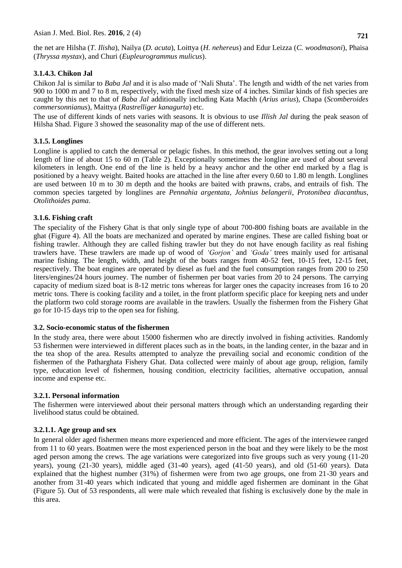the net are Hilsha (*T. Ilisha*), Nailya (*D. acuta*), Loittya (*H. nehereus*) and Edur Leizza (*C. woodmasoni*), Phaisa (*Thryssa mystax*), and Churi (*Eupleurogrammus mulicus*).

### **3.1.4.3. Chikon Jal**

Chikon Jal is similar to *Baba Jal* and it is also made of 'Nali Shuta'. The length and width of the net varies from 900 to 1000 m and 7 to 8 m, respectively, with the fixed mesh size of 4 inches. Similar kinds of fish species are caught by this net to that of *Baba Jal* additionally including Kata Machh (*Arius arius*), Chapa (*Scomberoides commersonnianus*), Maittya (*Rastrelliger kanagurta*) etc.

The use of different kinds of nets varies with seasons. It is obvious to use *Illish Jal* during the peak season of Hilsha Shad. Figure 3 showed the seasonality map of the use of different nets.

### **3.1.5. Longlines**

Longline is applied to catch the demersal or pelagic fishes. In this method, the gear involves setting out a long length of line of about 15 to 60 m (Table 2). Exceptionally sometimes the longline are used of about several kilometers in length. One end of the line is held by a heavy anchor and the other end marked by a flag is positioned by a heavy weight. Baited hooks are attached in the line after every 0.60 to 1.80 m length. Longlines are used between 10 m to 30 m depth and the hooks are baited with prawns, crabs, and entrails of fish. The common species targeted by longlines are *Pennahia argentata*, *Johnius belangerii*, *Protonibea diacanthus*, *Otolithoides pama*.

### **3.1.6. Fishing craft**

The speciality of the Fishery Ghat is that only single type of about 700-800 fishing boats are available in the ghat (Figure 4). All the boats are mechanized and operated by marine engines. These are called fishing boat or fishing trawler. Although they are called fishing trawler but they do not have enough facility as real fishing trawlers have. These trawlers are made up of wood of *'Gorjon'* and *'Goda'* trees mainly used for artisanal marine fishing. The length, width, and height of the boats ranges from 40-52 feet, 10-15 feet, 12-15 feet, respectively. The boat engines are operated by diesel as fuel and the fuel consumption ranges from 200 to 250 liters/engines/24 hours journey. The number of fishermen per boat varies from 20 to 24 persons. The carrying capacity of medium sized boat is 8-12 metric tons whereas for larger ones the capacity increases from 16 to 20 metric tons. There is cooking facility and a toilet, in the front platform specific place for keeping nets and under the platform two cold storage rooms are available in the trawlers. Usually the fishermen from the Fishery Ghat go for 10-15 days trip to the open sea for fishing.

#### **3.2. Socio-economic status of the fishermen**

In the study area, there were about 15000 fishermen who are directly involved in fishing activities. Randomly 53 fishermen were interviewed in different places such as in the boats, in the landing center, in the bazar and in the tea shop of the area. Results attempted to analyze the prevailing social and economic condition of the fishermen of the Patharghata Fishery Ghat. Data collected were mainly of about age group, religion, family type, education level of fishermen, housing condition, electricity facilities, alternative occupation, annual income and expense etc.

#### **3.2.1. Personal information**

The fishermen were interviewed about their personal matters through which an understanding regarding their livelihood status could be obtained.

## **3.2.1.1. Age group and sex**

In general older aged fishermen means more experienced and more efficient. The ages of the interviewee ranged from 11 to 60 years. Boatmen were the most experienced person in the boat and they were likely to be the most aged person among the crews. The age variations were categorized into five groups such as very young (11-20 years), young (21-30 years), middle aged (31-40 years), aged (41-50 years), and old (51-60 years). Data explained that the highest number (31%) of fishermen were from two age groups, one from 21-30 years and another from 31-40 years which indicated that young and middle aged fishermen are dominant in the Ghat (Figure 5). Out of 53 respondents, all were male which revealed that fishing is exclusively done by the male in this area.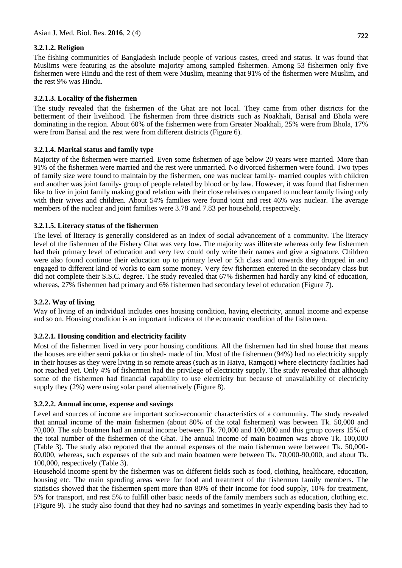## **3.2.1.2. Religion**

The fishing communities of Bangladesh include people of various castes, creed and status. It was found that Muslims were featuring as the absolute majority among sampled fishermen. Among 53 fishermen only five fishermen were Hindu and the rest of them were Muslim, meaning that 91% of the fishermen were Muslim, and the rest 9% was Hindu.

### **3.2.1.3. Locality of the fishermen**

The study revealed that the fishermen of the Ghat are not local. They came from other districts for the betterment of their livelihood. The fishermen from three districts such as Noakhali, Barisal and Bhola were dominating in the region. About 60% of the fishermen were from Greater Noakhali, 25% were from Bhola, 17% were from Barisal and the rest were from different districts (Figure 6).

### **3.2.1.4. Marital status and family type**

Majority of the fishermen were married. Even some fishermen of age below 20 years were married. More than 91% of the fishermen were married and the rest were unmarried. No divorced fishermen were found. Two types of family size were found to maintain by the fishermen, one was nuclear family- married couples with children and another was joint family- group of people related by blood or by law. However, it was found that fishermen like to live in joint family making good relation with their close relatives compared to nuclear family living only with their wives and children. About 54% families were found joint and rest 46% was nuclear. The average members of the nuclear and joint families were 3.78 and 7.83 per household, respectively.

#### **3.2.1.5. Literacy status of the fishermen**

The level of literacy is generally considered as an index of social advancement of a community. The literacy level of the fishermen of the Fishery Ghat was very low. The majority was illiterate whereas only few fishermen had their primary level of education and very few could only write their names and give a signature. Children were also found continue their education up to primary level or 5th class and onwards they dropped in and engaged to different kind of works to earn some money. Very few fishermen entered in the secondary class but did not complete their S.S.C. degree. The study revealed that 67% fishermen had hardly any kind of education, whereas, 27% fishermen had primary and 6% fishermen had secondary level of education (Figure 7).

#### **3.2.2. Way of living**

Way of living of an individual includes ones housing condition, having electricity, annual income and expense and so on. Housing condition is an important indicator of the economic condition of the fishermen.

#### **3.2.2.1. Housing condition and electricity facility**

Most of the fishermen lived in very poor housing conditions. All the fishermen had tin shed house that means the houses are either semi pakka or tin shed- made of tin. Most of the fishermen (94%) had no electricity supply in their houses as they were living in so remote areas (such as in Hatya, Ramgoti) where electricity facilities had not reached yet. Only 4% of fishermen had the privilege of electricity supply. The study revealed that although some of the fishermen had financial capability to use electricity but because of unavailability of electricity supply they (2%) were using solar panel alternatively (Figure 8).

#### **3.2.2.2. Annual income, expense and savings**

Level and sources of income are important socio-economic characteristics of a community. The study revealed that annual income of the main fishermen (about 80% of the total fishermen) was between Tk. 50,000 and 70,000. The sub boatmen had an annual income between Tk. 70,000 and 100,000 and this group covers 15% of the total number of the fishermen of the Ghat. The annual income of main boatmen was above Tk. 100,000 (Table 3). The study also reported that the annual expenses of the main fishermen were between Tk. 50,000- 60,000, whereas, such expenses of the sub and main boatmen were between Tk. 70,000-90,000, and about Tk. 100,000, respectively (Table 3).

Household income spent by the fishermen was on different fields such as food, clothing, healthcare, education, housing etc. The main spending areas were for food and treatment of the fishermen family members. The statistics showed that the fishermen spent more than 80% of their income for food supply, 10% for treatment, 5% for transport, and rest 5% to fulfill other basic needs of the family members such as education, clothing etc. (Figure 9). The study also found that they had no savings and sometimes in yearly expending basis they had to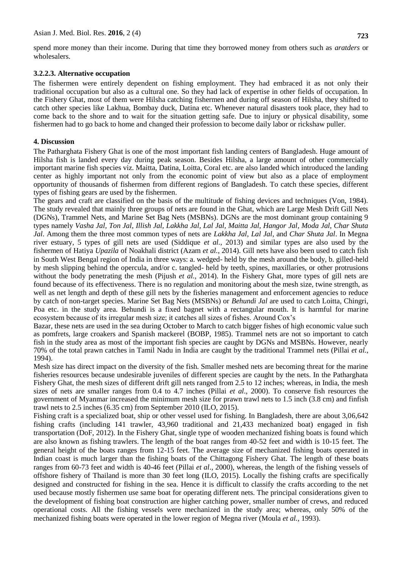spend more money than their income. During that time they borrowed money from others such as *aratders* or wholesalers.

### **3.2.2.3. Alternative occupation**

The fishermen were entirely dependent on fishing employment. They had embraced it as not only their traditional occupation but also as a cultural one. So they had lack of expertise in other fields of occupation. In the Fishery Ghat, most of them were Hilsha catching fishermen and during off season of Hilsha, they shifted to catch other species like Lakhua, Bombay duck, Datina etc. Whenever natural disasters took place, they had to come back to the shore and to wait for the situation getting safe. Due to injury or physical disability, some fishermen had to go back to home and changed their profession to become daily labor or rickshaw puller.

### **4. Discussion**

The Patharghata Fishery Ghat is one of the most important fish landing centers of Bangladesh. Huge amount of Hilsha fish is landed every day during peak season. Besides Hilsha, a large amount of other commercially important marine fish species viz. Maitta, Datina, Loitta, Coral etc. are also landed which introduced the landing center as highly important not only from the economic point of view but also as a place of employment opportunity of thousands of fishermen from different regions of Bangladesh. To catch these species, different types of fishing gears are used by the fishermen.

The gears and craft are classified on the basis of the multitude of fishing devices and techniques (Von, 1984). The study revealed that mainly three groups of nets are found in the Ghat, which are Large Mesh Drift Gill Nets (DGNs), Trammel Nets, and Marine Set Bag Nets (MSBNs). DGNs are the most dominant group containing 9 types namely *Vasha Jal, Ton Jal, Illish Jal, Lakkha Jal, Lal Jal, Maitta Jal, Hangor Jal, Moda Jal, Char Shuta Jal*. Among them the three most common types of nets are *Lakkha Jal*, *Lal Jal*, and *Char Shuta Jal*. In Megna river estuary, 5 types of gill nets are used (Siddique *et al.*, 2013) and similar types are also used by the fishermen of Hatiya *Upazila* of Noakhali district (Azam *et al.*, 2014). Gill nets have also been used to catch fish in South West Bengal region of India in three ways: a. wedged- held by the mesh around the body, b. gilled-held by mesh slipping behind the opercula, and/or c. tangled- held by teeth, spines, maxillaries, or other protrusions without the body penetrating the mesh (Pijush *et al.*, 2014). In the Fishery Ghat, more types of gill nets are found because of its effectiveness. There is no regulation and monitoring about the mesh size, twine strength, as well as net length and depth of these gill nets by the fisheries management and enforcement agencies to reduce by catch of non-target species. Marine Set Bag Nets (MSBNs) or *Behundi Jal* are used to catch Loitta, Chingri, Poa etc. in the study area. Behundi is a fixed bagnet with a rectangular mouth. It is harmful for marine ecosystem because of its irregular mesh size; it catches all sizes of fishes. Around Cox's

Bazar, these nets are used in the sea during October to March to catch bigger fishes of high economic value such as pomfrets, large croakers and Spanish mackerel (BOBP, 1985). Trammel nets are not so important to catch fish in the study area as most of the important fish species are caught by DGNs and MSBNs. However, nearly 70% of the total prawn catches in Tamil Nadu in India are caught by the traditional Trammel nets (Pillai *et al.*, 1994).

Mesh size has direct impact on the diversity of the fish. Smaller meshed nets are becoming threat for the marine fisheries resources because undesirable juveniles of different species are caught by the nets. In the Patharghata Fishery Ghat, the mesh sizes of different drift gill nets ranged from 2.5 to 12 inches; whereas, in India, the mesh sizes of nets are smaller ranges from 0.4 to 4.7 inches (Pillai *et al*., 2000). To conserve fish resources the government of Myanmar increased the minimum mesh size for prawn trawl nets to 1.5 inch (3.8 cm) and finfish trawl nets to 2.5 inches (6.35 cm) from September 2010 (ILO, 2015).

Fishing craft is a specialized boat, ship or other vessel used for fishing. In Bangladesh, there are about 3,06,642 fishing crafts (including 141 trawler, 43,960 traditional and 21,433 mechanized boat) engaged in fish transportation (DoF, 2012). In the Fishery Ghat, single type of wooden mechanized fishing boats is found which are also known as fishing trawlers. The length of the boat ranges from 40-52 feet and width is 10-15 feet. The general height of the boats ranges from 12-15 feet. The average size of mechanized fishing boats operated in Indian coast is much larger than the fishing boats of the Chittagong Fishery Ghat. The length of these boats ranges from 60-73 feet and width is 40-46 feet (Pillai *et al*., 2000), whereas, the length of the fishing vessels of offshore fishery of Thailand is more than 30 feet long (ILO, 2015). Locally the fishing crafts are specifically designed and constructed for fishing in the sea. Hence it is difficult to classify the crafts according to the net used because mostly fishermen use same boat for operating different nets. The principal considerations given to the development of fishing boat construction are higher catching power, smaller number of crews, and reduced operational costs. All the fishing vessels were mechanized in the study area; whereas, only 50% of the mechanized fishing boats were operated in the lower region of Megna river (Moula *et al.*, 1993).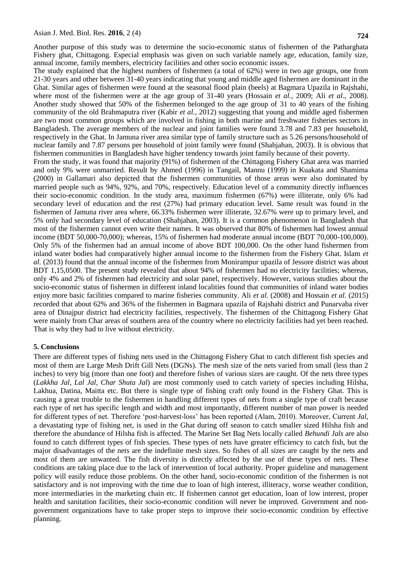Another purpose of this study was to determine the socio-economic status of fishermen of the Patharghata Fishery ghat, Chittagong. Especial emphasis was given on such variable namely age, education, family size, annual income, family members, electricity facilities and other socio economic issues.

The study explained that the highest numbers of fishermen (a total of 62%) were in two age groups, one from 21-30 years and other between 31-40 years indicating that young and middle aged fishermen are dominant in the Ghat. Similar ages of fishermen were found at the seasonal flood plain (beels) at Bagmara Upazila in Rajshahi, where most of the fishermen were at the age group of 31-40 years (Hossain *et al.*, 2009; Ali *et al*., 2008). Another study showed that 50% of the fishermen belonged to the age group of 31 to 40 years of the fishing community of the old Brahmaputra river (Kabir *et al.*, 2012) suggesting that young and middle aged fishermen are two most common groups which are involved in fishing in both marine and freshwater fisheries sectors in Bangladesh. The average members of the nuclear and joint families were found 3.78 and 7.83 per household, respectively in the Ghat. In Jamuna river area similar type of family structure such as 5.26 persons/household of nuclear family and 7.87 persons per household of joint family were found (Shahjahan, 2003). It is obvious that fishermen communities in Bangladesh have higher tendency towards joint family because of their poverty. From the study, it was found that majority (91%) of fishermen of the Chittagong Fishery Ghat area was married and only 9% were unmarried. Result by Ahmed (1996) in Tangail, Mannu (1999) in Kuakata and Shamima (2000) in Gallamari also depicted that the fishermen communities of those areas were also dominated by married people such as 94%, 92%, and 70%, respectively. Education level of a community directly influences their socio-economic condition. In the study area, maximum fishermen (67%) were illiterate, only 6% had secondary level of education and the rest (27%) had primary education level. Same result was found in the fishermen of Jamuna river area where, 66.33% fishermen were illiterate, 32.67% were up to primary level, and 5% only had secondary level of education (Shahjahan, 2003). It is a common phenomenon in Bangladesh that most of the fishermen cannot even write their names. It was observed that 80% of fishermen had lowest annual income (BDT 50,000-70,000); whereas, 15% of fishermen had moderate annual income (BDT 70,000-100,000). Only 5% of the fishermen had an annual income of above BDT 100,000. On the other hand fishermen from inland water bodies had comparatively higher annual income to the fishermen from the Fishery Ghat. Islam *et al.* (2013) found that the annual income of the fishermen from Monirampur upazila of Jessore district was about BDT 1,15,0500. The present study revealed that about 94% of fishermen had no electricity facilities; whereas, only 4% and 2% of fishermen had electricity and solar panel, respectively. However, various studies about the socio-economic status of fishermen in different inland localities found that communities of inland water bodies enjoy more basic facilities compared to marine fisheries community. Ali *et al.* (2008) and Hossain *et al.* (2015) recorded that about 62% and 36% of the fishermen in Bagmara upazila of Rajshahi district and Punarvaba river area of Dinajpur district had electricity facilities, respectively. The fishermen of the Chittagong Fishery Ghat were mainly from Char areas of southern area of the country where no electricity facilities had yet been reached. That is why they had to live without electricity.

## **5. Conclusions**

There are different types of fishing nets used in the Chittagong Fishery Ghat to catch different fish species and most of them are Large Mesh Drift Gill Nets (DGNs). The mesh size of the nets varied from small (less than 2 inches) to very big (more than one foot) and therefore fishes of various sizes are caught. Of the nets three types (*Lakkha Jal, Lal Jal, Char Shuta Jal*) are most commonly used to catch variety of species including Hilsha, Lakhua, Datina, Maitta etc. But there is single type of fishing craft only found in the Fishery Ghat. This is causing a great trouble to the fishermen in handling different types of nets from a single type of craft because each type of net has specific length and width and most importantly, different number of man power is needed for different types of net. Therefore 'post-harvest-loss' has been reported (Alam, 2010). Moreover, Current *Jal*, a devastating type of fishing net, is used in the Ghat during off season to catch smaller sized Hilsha fish and therefore the abundance of Hilsha fish is affected. The Marine Set Bag Nets locally called *Behundi Jals* are also found to catch different types of fish species. These types of nets have greater efficiency to catch fish, but the major disadvantages of the nets are the indefinite mesh sizes. So fishes of all sizes are caught by the nets and most of them are unwanted. The fish diversity is directly affected by the use of these types of nets. These conditions are taking place due to the lack of intervention of local authority. Proper guideline and management policy will easily reduce those problems. On the other hand, socio-economic condition of the fishermen is not satisfactory and is not improving with the time due to loan of high interest, illiteracy, worse weather condition, more intermediaries in the marketing chain etc. If fishermen cannot get education, loan of low interest, proper health and sanitation facilities, their socio-economic condition will never be improved. Government and nongovernment organizations have to take proper steps to improve their socio-economic condition by effective planning.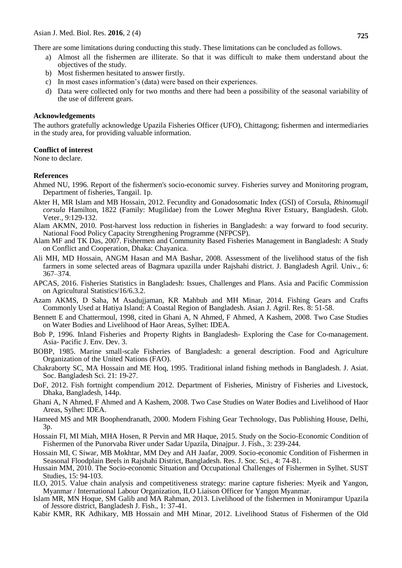There are some limitations during conducting this study. These limitations can be concluded as follows.

- a) Almost all the fishermen are illiterate. So that it was difficult to make them understand about the objectives of the study.
- b) Most fishermen hesitated to answer firstly.
- c) In most cases information's (data) were based on their experiences.
- d) Data were collected only for two months and there had been a possibility of the seasonal variability of the use of different gears.

#### **Acknowledgements**

The authors gratefully acknowledge Upazila Fisheries Officer (UFO), Chittagong; fishermen and intermediaries in the study area, for providing valuable information.

#### **Conflict of interest**

None to declare.

#### **References**

- Ahmed NU, 1996. Report of the fishermen's socio-economic survey. Fisheries survey and Monitoring program, Department of fisheries, Tangail. 1p.
- Akter H, MR Islam and MB Hossain, 2012. Fecundity and Gonadosomatic Index (GSI) of Corsula, *Rhinomugil corsula* Hamilton, 1822 (Family: Mugilidae) from the Lower Meghna River Estuary, Bangladesh. Glob. Veter., 9:129-132.
- Alam AKMN, 2010. Post-harvest loss reduction in fisheries in Bangladesh: a way forward to food security. National Food Policy Capacity Strengthening Programme (NFPCSP).
- Alam MF and TK Das, 2007. Fishermen and Community Based Fisheries Management in Bangladesh: A Study on Conflict and Cooperation, Dhaka: Chayanica.
- Ali MH, MD Hossain, ANGM Hasan and MA Bashar, 2008. Assessment of the livelihood status of the fish farmers in some selected areas of Bagmara upazilla under Rajshahi district. J. Bangladesh Agril. Univ., 6: 367–374.
- APCAS, 2016. Fisheries Statistics in Bangladesh: Issues, Challenges and Plans. Asia and Pacific Commission on Agricultural Statistics/16/6.3.2.
- Azam AKMS, D Saha, M Asadujjaman, KR Mahbub and MH Minar, 2014. Fishing Gears and Crafts Commonly Used at Hatiya Island: A Coastal Region of Bangladesh. Asian J. Agril. Res. 8: 51-58.
- Bennett E and Chattermoul, 1998, cited in Ghani A, N Ahmed, F Ahmed, A Kashem, 2008. Two Case Studies on Water Bodies and Livelihood of Haor Areas, Sylhet: IDEA.
- Bob P, 1996. Inland Fisheries and Property Rights in Bangladesh- Exploring the Case for Co-management. Asia- Pacific J. Env. Dev. 3.
- BOBP, 1985. Marine small-scale Fisheries of Bangladesh: a general description. Food and Agriculture Organization of the United Nations (FAO).
- Chakraborty SC, MA Hossain and ME Hoq, 1995. Traditional inland fishing methods in Bangladesh. J. Asiat. Soc. Bangladesh Sci. 21: 19-27.
- DoF, 2012. Fish fortnight compendium 2012. Department of Fisheries, Ministry of Fisheries and Livestock, Dhaka, Bangladesh, 144p.
- Ghani A, N Ahmed, F Ahmed and A Kashem, 2008. Two Case Studies on Water Bodies and Livelihood of Haor Areas, Sylhet: IDEA.
- Hameed MS and MR Boophendranath, 2000. Modern Fishing Gear Technology, Das Publishing House, Delhi, 3p.
- Hossain FI, MI Miah, MHA Hosen, R Pervin and MR Haque, 2015. Study on the Socio-Economic Condition of Fishermen of the Punorvaba River under Sadar Upazila, Dinajpur. J. Fish., 3: 239-244.
- Hossain MI, C Siwar, MB Mokhtar, MM Dey and AH Jaafar, 2009. Socio-economic Condition of Fishermen in Seasonal Floodplain Beels in Rajshahi District, Bangladesh. Res. J. Soc. Sci., 4: 74-81.
- Hussain MM, 2010. The Socio-economic Situation and Occupational Challenges of Fishermen in Sylhet. SUST Studies, 15: 94-103.
- ILO, 2015. Value chain analysis and competitiveness strategy: marine capture fisheries: Myeik and Yangon, Myanmar / International Labour Organization, ILO Liaison Officer for Yangon Myanmar.
- Islam MR, MN Hoque, SM Galib and MA Rahman, 2013. Livelihood of the fishermen in Monirampur Upazila of Jessore district, Bangladesh J. Fish., 1: 37-41.
- Kabir KMR, RK Adhikary, MB Hossain and MH Minar, 2012. Livelihood Status of Fishermen of the Old